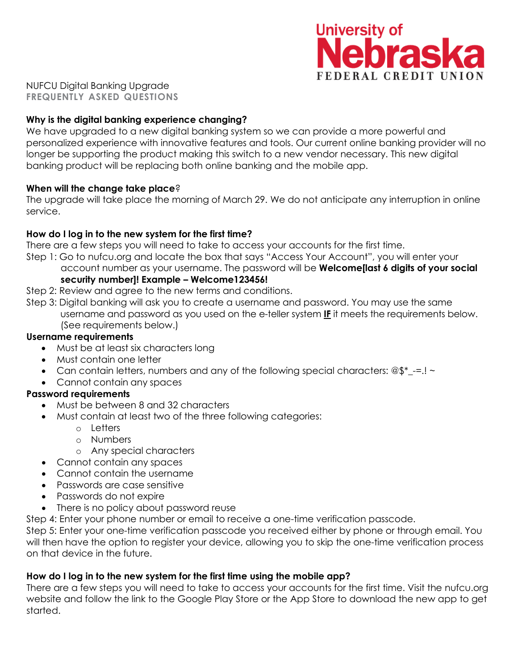

NUFCU Digital Banking Upgrade **FREQUENTLY ASKED QUESTIONS**

### **Why is the digital banking experience changing?**

We have upgraded to a new digital banking system so we can provide a more powerful and personalized experience with innovative features and tools. Our current online banking provider will no longer be supporting the product making this switch to a new vendor necessary. This new digital banking product will be replacing both online banking and the mobile app.

### **When will the change take place**?

The upgrade will take place the morning of March 29. We do not anticipate any interruption in online service.

## **How do I log in to the new system for the first time?**

There are a few steps you will need to take to access your accounts for the first time.

- Step 1: Go to nufcu.org and locate the box that says "Access Your Account", you will enter your account number as your username. The password will be **Welcome[last 6 digits of your social security number]! Example – Welcome123456!**
- Step 2: Review and agree to the new terms and conditions.
- Step 3: Digital banking will ask you to create a username and password. You may use the same username and password as you used on the e-teller system **IF** it meets the requirements below. (See requirements below.)

### **Username requirements**

- Must be at least six characters long
- Must contain one letter
- Can contain letters, numbers and any of the following special characters:  $@\$ ^\*\_{-}=.! ~
- Cannot contain any spaces

## **Password requirements**

- Must be between 8 and 32 characters
- Must contain at least two of the three following categories:
	- o Letters
		- o Numbers
		- o Any special characters
- Cannot contain any spaces
- Cannot contain the username
- Passwords are case sensitive
- Passwords do not expire
- There is no policy about password reuse
- Step 4: Enter your phone number or email to receive a one-time verification passcode.

Step 5: Enter your one-time verification passcode you received either by phone or through email. You will then have the option to register your device, allowing you to skip the one-time verification process on that device in the future.

## **How do I log in to the new system for the first time using the mobile app?**

There are a few steps you will need to take to access your accounts for the first time. Visit the nufcu.org website and follow the link to the Google Play Store or the App Store to download the new app to get started.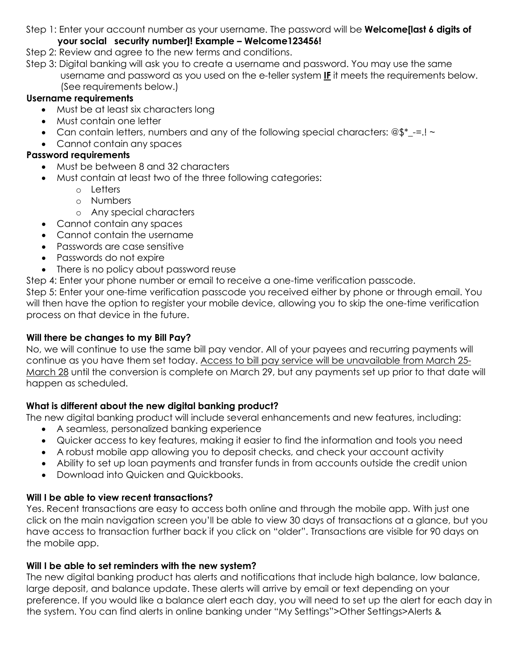Step 1: Enter your account number as your username. The password will be **Welcome[last 6 digits of**

# **your social security number]! Example – Welcome123456!**

- Step 2: Review and agree to the new terms and conditions.
- Step 3: Digital banking will ask you to create a username and password. You may use the same username and password as you used on the e-teller system **IF** it meets the requirements below. (See requirements below.)

# **Username requirements**

- Must be at least six characters long
- Must contain one letter
- Can contain letters, numbers and any of the following special characters:  $@$^*$  -=.! ~
- Cannot contain any spaces

# **Password requirements**

- Must be between 8 and 32 characters
- Must contain at least two of the three following categories:
	- o Letters
	- o Numbers
	- o Any special characters
- Cannot contain any spaces
- Cannot contain the username
- Passwords are case sensitive
- Passwords do not expire
- There is no policy about password reuse
- Step 4: Enter your phone number or email to receive a one-time verification passcode.

Step 5: Enter your one-time verification passcode you received either by phone or through email. You will then have the option to register your mobile device, allowing you to skip the one-time verification process on that device in the future.

# **Will there be changes to my Bill Pay?**

No, we will continue to use the same bill pay vendor. All of your payees and recurring payments will continue as you have them set today. Access to bill pay service will be unavailable from March 25- March 28 until the conversion is complete on March 29, but any payments set up prior to that date will happen as scheduled.

# **What is different about the new digital banking product?**

The new digital banking product will include several enhancements and new features, including:

- A seamless, personalized banking experience
- Quicker access to key features, making it easier to find the information and tools you need
- A robust mobile app allowing you to deposit checks, and check your account activity
- Ability to set up loan payments and transfer funds in from accounts outside the credit union
- Download into Quicken and Quickbooks.

# **Will I be able to view recent transactions?**

Yes. Recent transactions are easy to access both online and through the mobile app. With just one click on the main navigation screen you'll be able to view 30 days of transactions at a glance, but you have access to transaction further back if you click on "older". Transactions are visible for 90 days on the mobile app.

# **Will I be able to set reminders with the new system?**

The new digital banking product has alerts and notifications that include high balance, low balance, large deposit, and balance update. These alerts will arrive by email or text depending on your preference. If you would like a balance alert each day, you will need to set up the alert for each day in the system. You can find alerts in online banking under "My Settings">Other Settings>Alerts &